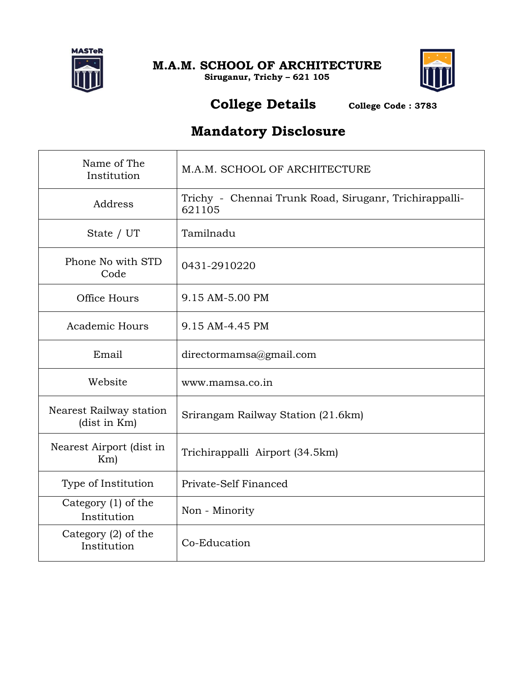

**M.A.M. SCHOOL OF ARCHITECTURE Siruganur, Trichy – 621 105**



#### **College Details College Code : <sup>3783</sup>**

### **Mandatory Disclosure**

| Name of The<br>Institution              | M.A.M. SCHOOL OF ARCHITECTURE                                    |
|-----------------------------------------|------------------------------------------------------------------|
| Address                                 | Trichy - Chennai Trunk Road, Siruganr, Trichirappalli-<br>621105 |
| State / UT                              | Tamilnadu                                                        |
| Phone No with STD<br>Code               | 0431-2910220                                                     |
| Office Hours                            | 9.15 AM-5.00 PM                                                  |
| Academic Hours                          | 9.15 AM-4.45 PM                                                  |
| Email                                   | directormamsa@gmail.com                                          |
| Website                                 | www.mamsa.co.in                                                  |
| Nearest Railway station<br>(dist in Km) | Srirangam Railway Station (21.6km)                               |
| Nearest Airport (dist in<br>Km          | Trichirappalli Airport (34.5km)                                  |
| Type of Institution                     | Private-Self Financed                                            |
| Category (1) of the<br>Institution      | Non - Minority                                                   |
| Category $(2)$ of the<br>Institution    | Co-Education                                                     |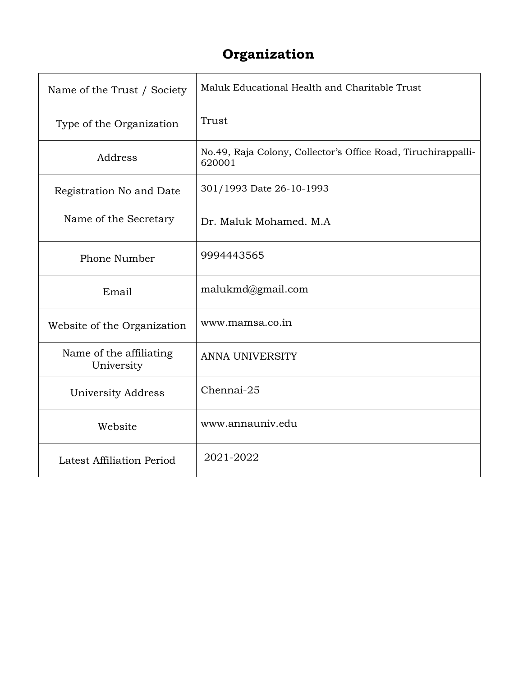## **Organization**

| Name of the Trust / Society           | Maluk Educational Health and Charitable Trust                           |
|---------------------------------------|-------------------------------------------------------------------------|
| Type of the Organization              | Trust                                                                   |
| Address                               | No.49, Raja Colony, Collector's Office Road, Tiruchirappalli-<br>620001 |
| Registration No and Date              | 301/1993 Date 26-10-1993                                                |
| Name of the Secretary                 | Dr. Maluk Mohamed. M.A.                                                 |
| Phone Number                          | 9994443565                                                              |
| Email                                 | malukmd@gmail.com                                                       |
| Website of the Organization           | www.mamsa.co.in                                                         |
| Name of the affiliating<br>University | <b>ANNA UNIVERSITY</b>                                                  |
| University Address                    | Chennai-25                                                              |
| Website                               | www.annauniv.edu                                                        |
| Latest Affiliation Period             | 2021-2022                                                               |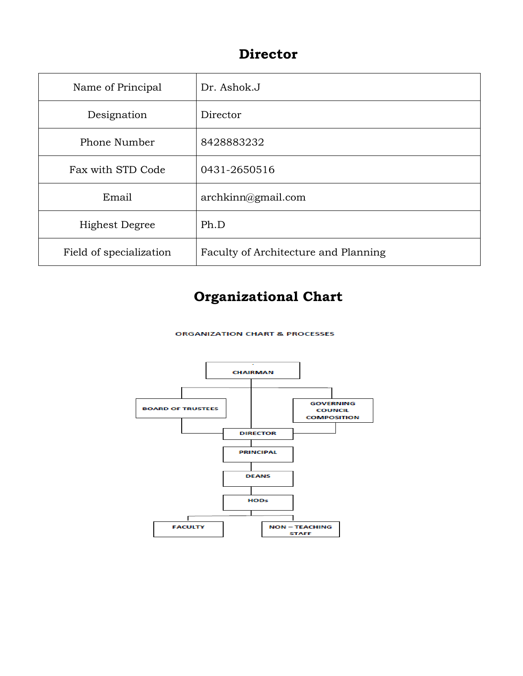#### **Director**

| Name of Principal       | Dr. Ashok.J                          |
|-------------------------|--------------------------------------|
| Designation             | Director                             |
| Phone Number            | 8428883232                           |
| Fax with STD Code       | 0431-2650516                         |
| Email                   | archkinn@gmail.com                   |
| <b>Highest Degree</b>   | Ph.D                                 |
| Field of specialization | Faculty of Architecture and Planning |

## **Organizational Chart**

**ORGANIZATION CHART & PROCESSES** 

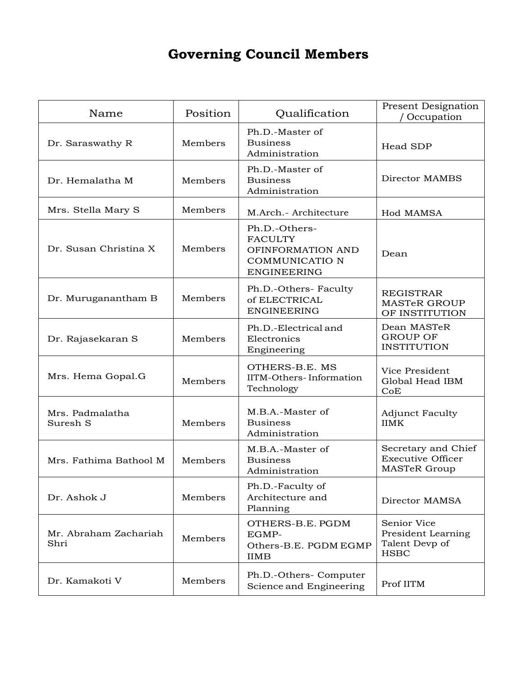## **Governing Council Members**

| Name                          | Position | Qualification                                                                                | <b>Present Designation</b><br>Occupation                               |
|-------------------------------|----------|----------------------------------------------------------------------------------------------|------------------------------------------------------------------------|
| Dr. Saraswathy R              | Members  | Ph.D.-Master of<br><b>Business</b><br>Administration                                         | Head SDP                                                               |
| Dr. Hemalatha M               | Members  | Ph.D.-Master of<br><b>Business</b><br>Administration                                         | Director MAMBS                                                         |
| Mrs. Stella Mary S            | Members  | M.Arch.- Architecture                                                                        | Hod MAMSA                                                              |
| Dr. Susan Christina X         | Members  | Ph.D.-Others-<br><b>FACULTY</b><br>OFINFORMATION AND<br>COMMUNICATIO N<br><b>ENGINEERING</b> | Dean                                                                   |
| Dr. Muruganantham B           | Members  | Ph.D.-Others- Faculty<br>of ELECTRICAL<br><b>ENGINEERING</b>                                 | <b>REGISTRAR</b><br><b>MASTeR GROUP</b><br>OF INSTITUTION              |
| Dr. Rajasekaran S             | Members  | Ph.D.-Electrical and<br>Electronics<br>Engineering                                           | Dean MASTeR<br><b>GROUP OF</b><br><b>INSTITUTION</b>                   |
| Mrs. Hema Gopal.G             | Members  | OTHERS-B.E. MS<br>IITM-Others-Information<br>Technology                                      | Vice President<br>Global Head IBM<br>CoE                               |
| Mrs. Padmalatha<br>Suresh S   | Members  | M.B.A.-Master of<br><b>Business</b><br>Administration                                        | <b>Adjunct Faculty</b><br><b>IIMK</b>                                  |
| Mrs. Fathima Bathool M        | Members  | M.B.A.-Master of<br><b>Business</b><br>Administration                                        | Secretary and Chief<br><b>Executive Officer</b><br><b>MASTeR Group</b> |
| Dr. Ashok J                   | Members  | Ph.D.-Faculty of<br>Architecture and<br>Planning                                             | Director MAMSA                                                         |
| Mr. Abraham Zachariah<br>Shri | Members  | OTHERS-B.E. PGDM<br>EGMP-<br>Others-B.E. PGDM EGMP<br><b>IIMB</b>                            | Senior Vice<br>President Learning<br>Talent Devp of<br><b>HSBC</b>     |
| Dr. Kamakoti V                | Members  | Ph.D.-Others- Computer<br>Science and Engineering                                            | Prof IITM                                                              |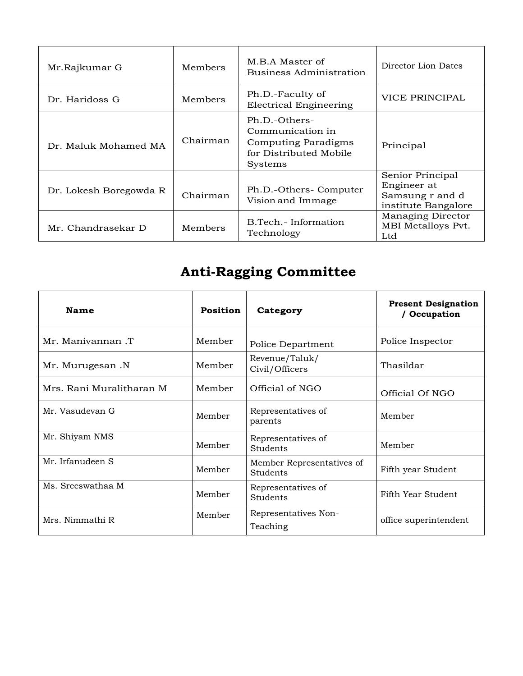| Mr.Rajkumar G          | Members  | M.B.A Master of<br>Business Administration                                                    | Director Lion Dates                                                       |
|------------------------|----------|-----------------------------------------------------------------------------------------------|---------------------------------------------------------------------------|
| Dr. Haridoss G         | Members  | Ph.D.-Faculty of<br><b>Electrical Engineering</b>                                             | <b>VICE PRINCIPAL</b>                                                     |
| Dr. Maluk Mohamed MA   | Chairman | Ph.D.-Others-<br>Communication in<br>Computing Paradigms<br>for Distributed Mobile<br>Systems | Principal                                                                 |
| Dr. Lokesh Boregowda R | Chairman | Ph.D.-Others- Computer<br>Vision and Immage                                                   | Senior Principal<br>Engineer at<br>Samsung r and d<br>institute Bangalore |
| Mr. Chandrasekar D     | Members  | B.Tech.- Information<br>Technology                                                            | Managing Director<br>MBI Metalloys Pvt.<br>Ltd                            |

# **Anti-Ragging Committee**

| Name                     | <b>Position</b><br>Category |                                       | <b>Present Designation</b><br>/ Occupation |
|--------------------------|-----------------------------|---------------------------------------|--------------------------------------------|
| Mr. Manivannan .T        | Member                      | Police Department                     | Police Inspector                           |
| Mr. Murugesan .N         | Member                      | Revenue/Taluk/<br>Civil/Officers      | Thasildar                                  |
| Mrs. Rani Muralitharan M | Member                      | Official of NGO                       | Official Of NGO                            |
| Mr. Vasudevan G          | Member                      | Representatives of<br>parents         | Member                                     |
| Mr. Shiyam NMS           | Member                      | Representatives of<br>Students        | Member                                     |
| Mr. Irfanudeen S         | Member                      | Member Representatives of<br>Students | Fifth year Student                         |
| Ms. Sreeswathaa M        | Member                      | Representatives of<br>Students        | Fifth Year Student                         |
| Mrs. Nimmathi R          | Member                      | Representatives Non-<br>Teaching      | office superintendent                      |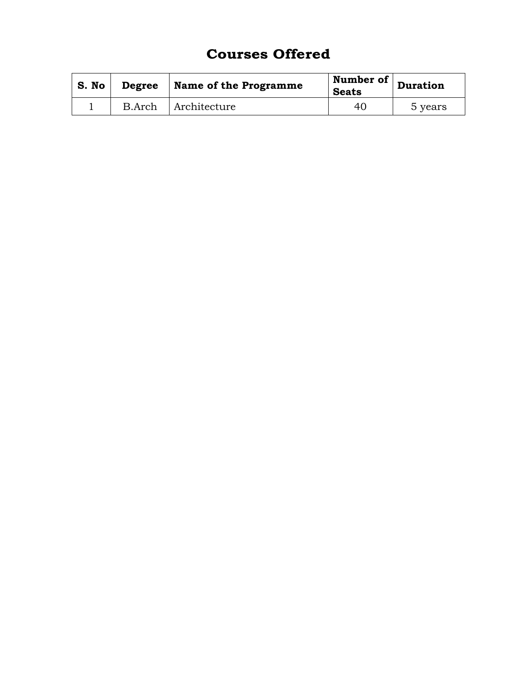### **Courses Offered**

| S. No | <b>Degree</b> | Name of the Programme | Number of<br><b>Seats</b> | Duration |
|-------|---------------|-----------------------|---------------------------|----------|
|       | B.Arch        | Architecture          | 40                        | 5 years  |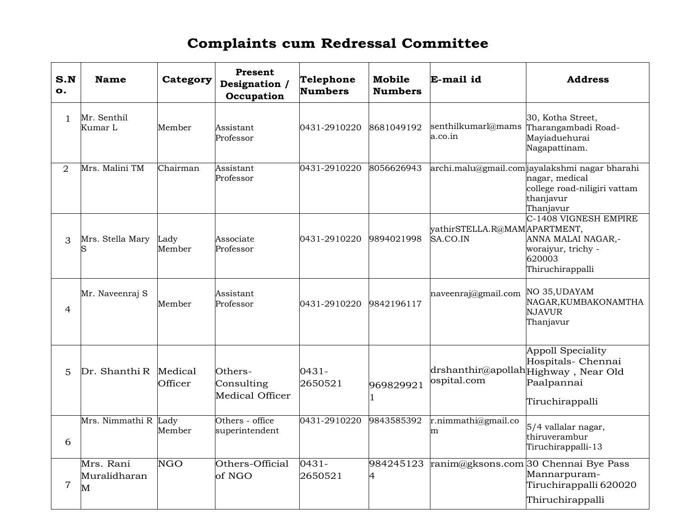## **Complaints cum Redressal Committee**

| S.N<br>o.      | <b>Name</b>                    | Category                | Present<br>Designation /<br>Occupation          | Telephone<br><b>Numbers</b> | <b>Mobile</b><br><b>Numbers</b> | E-mail id                                | <b>Address</b>                                                                                                             |
|----------------|--------------------------------|-------------------------|-------------------------------------------------|-----------------------------|---------------------------------|------------------------------------------|----------------------------------------------------------------------------------------------------------------------------|
| $\mathbf{1}$   | Mr. Senthil<br>Kumar L         | Member                  | Assistant<br>Professor                          | 0431-2910220                | 8681049192                      | senthilkumarl@mams<br>a.co.in            | 30, Kotha Street,<br>Tharangambadi Road-<br>Mayiaduehurai<br>Nagapattinam.                                                 |
| $\overline{2}$ | Mrs. Malini TM                 | Chairman                | Assistant<br>Professor                          | 0431-2910220                | 8056626943                      |                                          | archi.malu@gmail.com jayalakshmi nagar bharahi<br>nagar, medical<br>college road-niligiri vattam<br>thanjavur<br>Thanjavur |
| 3              | Mrs. Stella Mary               | Lady<br>Member          | Associate<br>Professor                          | 0431-2910220                | 9894021998                      | yathirSTELLA.R@MAMAPARTMENT,<br>SA.CO.IN | C-1408 VIGNESH EMPIRE<br>ANNA MALAI NAGAR,-<br>woraiyur, trichy -<br>620003<br>Thiruchirappalli                            |
| 4              | Mr. Naveenraj S                | Member                  | Assistant<br>Professor                          | 0431-2910220                | 9842196117                      | naveenraj@gmail.com                      | NO 35, UDAYAM<br>NAGAR, KUMBAKONAMTHA<br><b>NJAVUR</b><br>Thanjavur                                                        |
| 5              | $Dr. Shanthi R$ Medical        | Officer                 | Others-<br>Consulting<br><b>Medical Officer</b> | $0431 -$<br>2650521         | 969829921                       | ospital.com                              | Appoll Speciality<br>Hospitals- Chennai<br>drshanthir@apollahHighway, Near Old<br>Paalpannai<br>Tiruchirappalli            |
| 6              | Mrs. Nimmathi R Lady           | Member                  | Others - office<br>superintendent               | 0431-2910220                | 9843585392                      | r.nimmathi@gmail.co<br>m                 | 5/4 vallalar nagar,<br>thiruverambur<br>Tiruchirappalli-13                                                                 |
| $\overline{7}$ | Mrs. Rani<br>Muralidharan<br>M | $\overline{\text{NGO}}$ | Others-Official<br>of NGO                       | $0431 -$<br>2650521         | 984245123<br>4                  | ranim@gksons.com                         | 30 Chennai Bye Pass<br>Mannarpuram-<br>Tiruchirappalli 620020<br>Thiruchirappalli                                          |